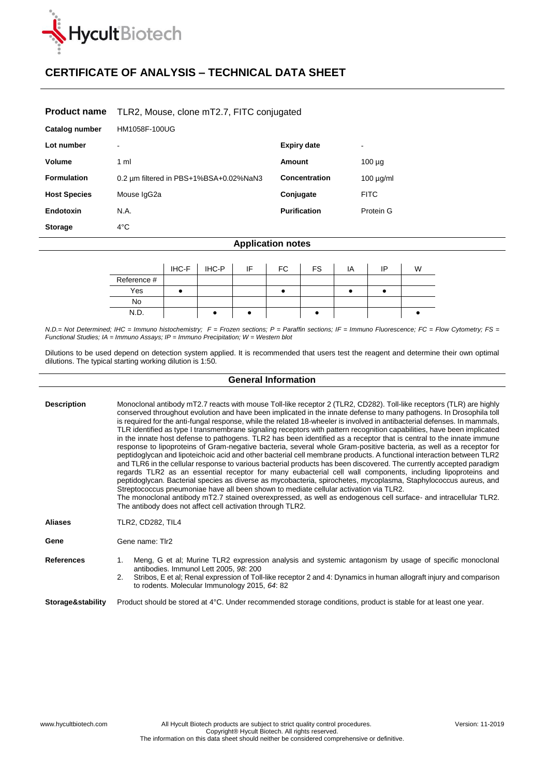

## **CERTIFICATE OF ANALYSIS – TECHNICAL DATA SHEET**

## **Product name** TLR2, Mouse, clone mT2.7, FITC conjugated

| Catalog number      | HM1058F-100UG                          |                      |                          |
|---------------------|----------------------------------------|----------------------|--------------------------|
| Lot number          | $\overline{\phantom{a}}$               | <b>Expiry date</b>   | $\overline{\phantom{0}}$ |
| <b>Volume</b>       | 1 ml                                   | Amount               | $100 \mu g$              |
| <b>Formulation</b>  | 0.2 um filtered in PBS+1%BSA+0.02%NaN3 | <b>Concentration</b> | $100 \mu g/ml$           |
| <b>Host Species</b> | Mouse IgG2a                            | Conjugate            | <b>FITC</b>              |
| Endotoxin           | N.A.                                   | <b>Purification</b>  | Protein G                |
| <b>Storage</b>      | $4^{\circ}$ C                          |                      |                          |

## **Application notes**

|             | $H C - F$ $H C - P$ | IF | FC. | <b>FS</b> | ΙA | םו | W |
|-------------|---------------------|----|-----|-----------|----|----|---|
| Reference # |                     |    |     |           |    |    |   |
| Yes         |                     |    |     |           |    |    |   |
| No          |                     |    |     |           |    |    |   |
|             |                     |    |     |           |    |    |   |

*N.D.= Not Determined; IHC = Immuno histochemistry; F = Frozen sections; P = Paraffin sections; IF = Immuno Fluorescence; FC = Flow Cytometry; FS = Functional Studies; IA = Immuno Assays; IP = Immuno Precipitation; W = Western blot*

Dilutions to be used depend on detection system applied. It is recommended that users test the reagent and determine their own optimal dilutions. The typical starting working dilution is 1:50.

| <b>General Information</b> |                                                                                                                                                                                                                                                                                                                                                                                                                                                                                                                                                                                                                                                                                                                                                                                                                                                                                                                                                                                                                                                                                                                                                                                                                                                                                                                                                                                                                                                                                                                  |                                                                                                                                                                                                                                                                                |  |  |  |
|----------------------------|------------------------------------------------------------------------------------------------------------------------------------------------------------------------------------------------------------------------------------------------------------------------------------------------------------------------------------------------------------------------------------------------------------------------------------------------------------------------------------------------------------------------------------------------------------------------------------------------------------------------------------------------------------------------------------------------------------------------------------------------------------------------------------------------------------------------------------------------------------------------------------------------------------------------------------------------------------------------------------------------------------------------------------------------------------------------------------------------------------------------------------------------------------------------------------------------------------------------------------------------------------------------------------------------------------------------------------------------------------------------------------------------------------------------------------------------------------------------------------------------------------------|--------------------------------------------------------------------------------------------------------------------------------------------------------------------------------------------------------------------------------------------------------------------------------|--|--|--|
| <b>Description</b>         | Monoclonal antibody mT2.7 reacts with mouse Toll-like receptor 2 (TLR2, CD282). Toll-like receptors (TLR) are highly<br>conserved throughout evolution and have been implicated in the innate defense to many pathogens. In Drosophila toll<br>is required for the anti-fungal response, while the related 18-wheeler is involved in antibacterial defenses. In mammals,<br>TLR identified as type I transmembrane signaling receptors with pattern recognition capabilities, have been implicated<br>in the innate host defense to pathogens. TLR2 has been identified as a receptor that is central to the innate immune<br>response to lipoproteins of Gram-negative bacteria, several whole Gram-positive bacteria, as well as a receptor for<br>peptidoglycan and lipoteichoic acid and other bacterial cell membrane products. A functional interaction between TLR2<br>and TLR6 in the cellular response to various bacterial products has been discovered. The currently accepted paradigm<br>regards TLR2 as an essential receptor for many eubacterial cell wall components, including lipoproteins and<br>peptidoglycan. Bacterial species as diverse as mycobacteria, spirochetes, mycoplasma, Staphylococcus aureus, and<br>Streptococcus pneumoniae have all been shown to mediate cellular activation via TLR2.<br>The monoclonal antibody mT2.7 stained overexpressed, as well as endogenous cell surface- and intracellular TLR2.<br>The antibody does not affect cell activation through TLR2. |                                                                                                                                                                                                                                                                                |  |  |  |
| <b>Aliases</b>             | <b>TLR2, CD282, TIL4</b>                                                                                                                                                                                                                                                                                                                                                                                                                                                                                                                                                                                                                                                                                                                                                                                                                                                                                                                                                                                                                                                                                                                                                                                                                                                                                                                                                                                                                                                                                         |                                                                                                                                                                                                                                                                                |  |  |  |
| Gene                       | Gene name: Tlr2                                                                                                                                                                                                                                                                                                                                                                                                                                                                                                                                                                                                                                                                                                                                                                                                                                                                                                                                                                                                                                                                                                                                                                                                                                                                                                                                                                                                                                                                                                  |                                                                                                                                                                                                                                                                                |  |  |  |
| <b>References</b>          | antibodies. Immunol Lett 2005, 98: 200<br>2.                                                                                                                                                                                                                                                                                                                                                                                                                                                                                                                                                                                                                                                                                                                                                                                                                                                                                                                                                                                                                                                                                                                                                                                                                                                                                                                                                                                                                                                                     | Meng, G et al; Murine TLR2 expression analysis and systemic antagonism by usage of specific monoclonal<br>Stribos, E et al; Renal expression of Toll-like receptor 2 and 4: Dynamics in human allograft injury and comparison<br>to rodents. Molecular Immunology 2015, 64: 82 |  |  |  |
| Storage&stability          | Product should be stored at 4°C. Under recommended storage conditions, product is stable for at least one year.                                                                                                                                                                                                                                                                                                                                                                                                                                                                                                                                                                                                                                                                                                                                                                                                                                                                                                                                                                                                                                                                                                                                                                                                                                                                                                                                                                                                  |                                                                                                                                                                                                                                                                                |  |  |  |